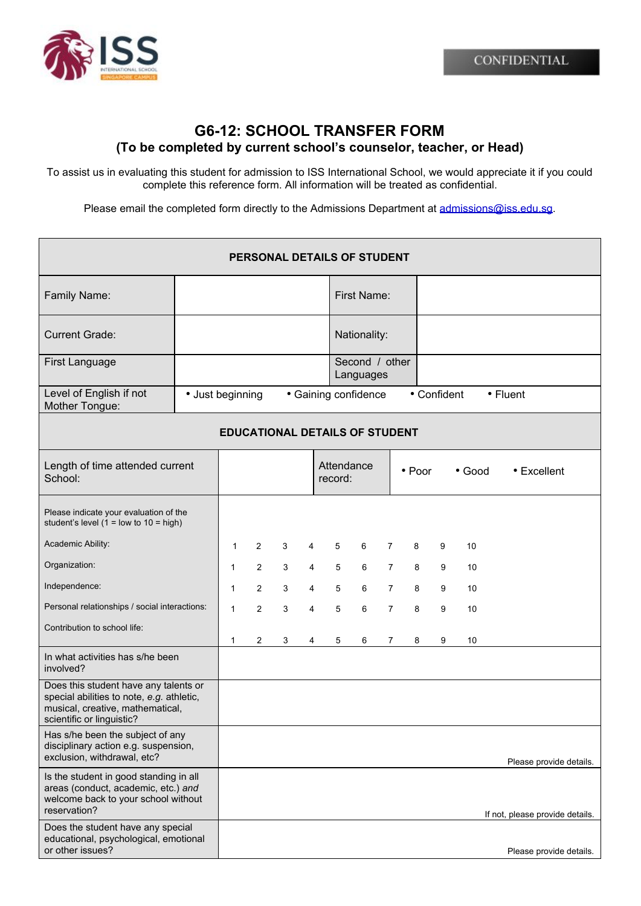

## **G6-12: SCHOOL TRANSFER FORM (To be completed by current school's counselor, teacher, or Head)**

To assist us in evaluating this student for admission to ISS International School, we would appreciate it if you could complete this reference form. All information will be treated as confidential.

Please email the completed form directly to the Admissions Department at [admissions@iss.edu.sg](mailto:admissions@iss.edu.sg).

| PERSONAL DETAILS OF STUDENT                                                                                                                         |                  |              |                |   |                      |                       |                             |                |                          |   |    |                                 |  |
|-----------------------------------------------------------------------------------------------------------------------------------------------------|------------------|--------------|----------------|---|----------------------|-----------------------|-----------------------------|----------------|--------------------------|---|----|---------------------------------|--|
| Family Name:                                                                                                                                        |                  |              |                |   |                      | First Name:           |                             |                |                          |   |    |                                 |  |
| <b>Current Grade:</b>                                                                                                                               |                  |              |                |   |                      | Nationality:          |                             |                |                          |   |    |                                 |  |
| <b>First Language</b>                                                                                                                               |                  |              |                |   |                      |                       | Second / other<br>Languages |                |                          |   |    |                                 |  |
| Level of English if not<br>Mother Tongue:                                                                                                           | • Just beginning |              |                |   | • Gaining confidence |                       |                             |                | • Confident<br>• Fluent  |   |    |                                 |  |
| <b>EDUCATIONAL DETAILS OF STUDENT</b>                                                                                                               |                  |              |                |   |                      |                       |                             |                |                          |   |    |                                 |  |
| Length of time attended current<br>School:                                                                                                          |                  |              |                |   |                      | Attendance<br>record: |                             |                | • Poor<br>$\bullet$ Good |   |    | • Excellent                     |  |
| Please indicate your evaluation of the<br>student's level $(1 =$ low to $10 =$ high)                                                                |                  |              |                |   |                      |                       |                             |                |                          |   |    |                                 |  |
| Academic Ability:                                                                                                                                   |                  | $\mathbf{1}$ | $\overline{2}$ | 3 | 4                    | 5                     | 6                           | $\overline{7}$ | 8                        | 9 | 10 |                                 |  |
| Organization:                                                                                                                                       |                  | $\mathbf{1}$ | $\overline{2}$ | 3 | 4                    | 5                     | 6                           | $\mathbf{7}$   | 8                        | 9 | 10 |                                 |  |
| Independence:                                                                                                                                       |                  | 1            | $\overline{2}$ | 3 | $\overline{4}$       | 5                     | 6                           | $\overline{7}$ | 8                        | 9 | 10 |                                 |  |
| Personal relationships / social interactions:                                                                                                       |                  | 1            | $\overline{2}$ | 3 | $\overline{4}$       | 5                     | 6                           | $\overline{7}$ | 8                        | 9 | 10 |                                 |  |
| Contribution to school life:                                                                                                                        |                  | $\mathbf{1}$ | 2              | 3 | 4                    | 5                     | 6                           | $\overline{7}$ | 8                        | 9 | 10 |                                 |  |
| In what activities has s/he been<br>involved?                                                                                                       |                  |              |                |   |                      |                       |                             |                |                          |   |    |                                 |  |
| Does this student have any talents or<br>special abilities to note, e.g. athletic,<br>musical, creative, mathematical,<br>scientific or linguistic? |                  |              |                |   |                      |                       |                             |                |                          |   |    |                                 |  |
| Has s/he been the subject of any<br>disciplinary action e.g. suspension,<br>exclusion, withdrawal, etc?                                             |                  |              |                |   |                      |                       |                             |                |                          |   |    | Please provide details.         |  |
| Is the student in good standing in all<br>areas (conduct, academic, etc.) and<br>welcome back to your school without<br>reservation?                |                  |              |                |   |                      |                       |                             |                |                          |   |    | If not, please provide details. |  |
| Does the student have any special<br>educational, psychological, emotional<br>or other issues?                                                      |                  |              |                |   |                      |                       |                             |                |                          |   |    | Please provide details.         |  |